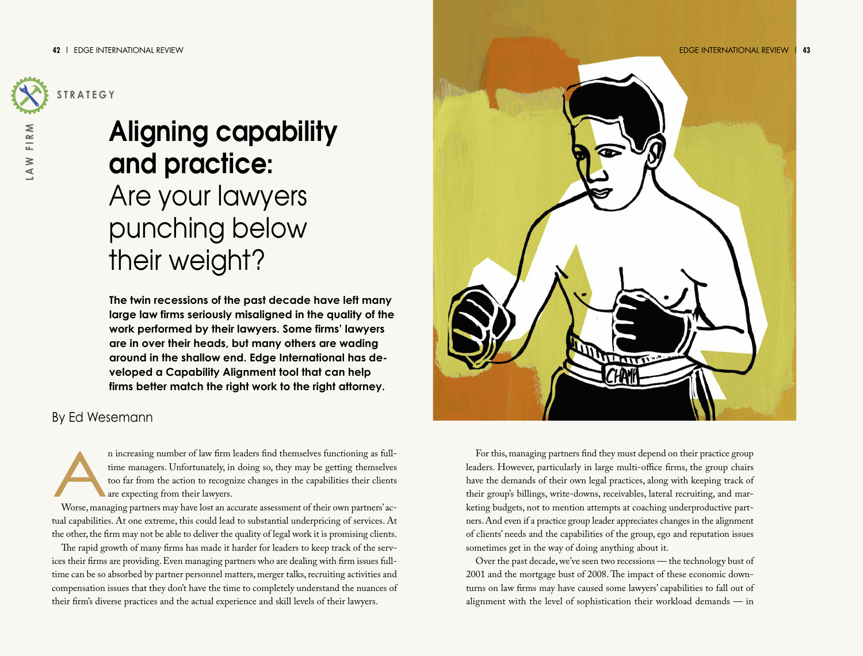

**L A**

**W F I R**

**M**

# **Aligning capability and practice:** Are your lawyers punching below their weight?

**The twin recessions of the past decade have left many large law firms seriously misaligned in the quality of the work performed by their lawyers. Some firms' lawyers are in over their heads, but many others are wading around in the shallow end. Edge International has developed a Capability Alignment tool that can help firms better match the right work to the right attorney.**

## By Ed Wesemann

An increasing number of law firm leaders find themselves functioning as full-<br>time managers. Unfortunately, in doing so, they may be getting themselves<br>too far from the action to recognize changes in the capabilities their time managers. Unfortunately, in doing so, they may be getting themselves too far from the action to recognize changes in the capabilities their clients are expecting from their lawyers.

tual capabilities. At one extreme, this could lead to substantial underpricing of services. At the other, the firm may not be able to deliver the quality of legal work it is promising clients.

The rapid growth of many firms has made it harder for leaders to keep track of the services their firms are providing.Even managing partners who are dealing with firm issues fulltime can be so absorbed by partner personnel matters, merger talks, recruiting activities and compensation issues that they don't have the time to completely understand the nuances of their firm's diverse practices and the actual experience and skill levels of their lawyers.



For this, managing partners find they must depend on their practice group leaders. However, particularly in large multi-office firms, the group chairs have the demands of their own legal practices, along with keeping track of their group's billings, write-downs, receivables, lateral recruiting, and marketing budgets, not to mention attempts at coaching underproductive partners.And even if a practice group leader appreciates changes in the alignment of clients' needs and the capabilities of the group, ego and reputation issues sometimes get in the way of doing anything about it.

Over the past decade,we've seen two recessions — the technology bust of 2001 and the mortgage bust of 2008.The impact of these economic downturns on law firms may have caused some lawyers' capabilities to fall out of alignment with the level of sophistication their workload demands — in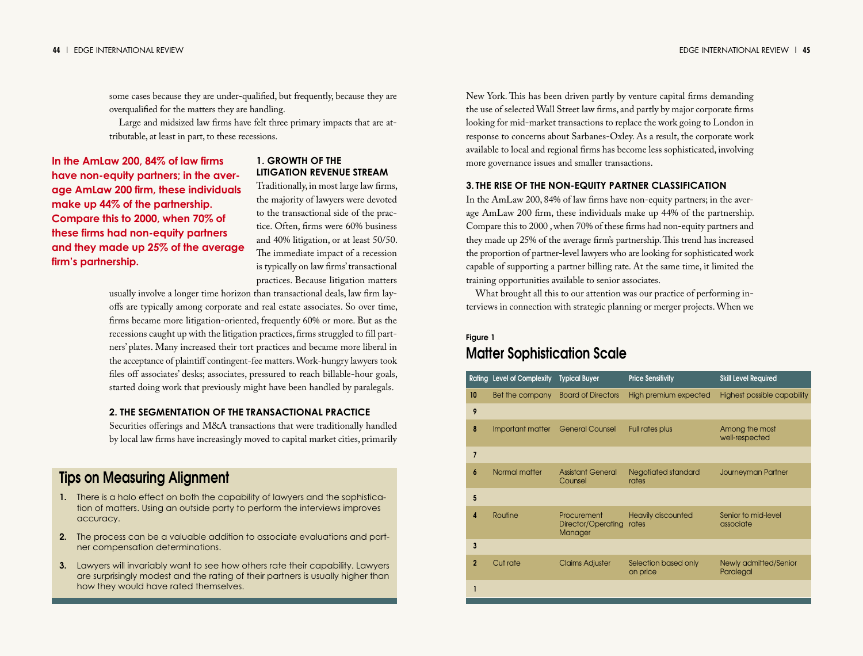some cases because they are under-qualified, but frequently, because they are overqualified for the matters they are handling.

Large and midsized law firms have felt three primary impacts that are attributable, at least in part, to these recessions.

**In the AmLaw 200, 84% of law firms have non-equity partners; in the average AmLaw 200 firm, these individuals make up 44% of the partnership. Compare this to 2000, when 70% of these firms had non-equity partners and they made up 25% of the average firm's partnership.**

#### **1. GROWTH OF THE LITIGATION REVENUE STREAM**

Traditionally, in most large law firms, the majority of lawyers were devoted to the transactional side of the practice. Often, firms were 60% business and 40% litigation, or at least 50/50. The immediate impact of a recession is typically on law firms'transactional practices. Because litigation matters

usually involve a longer time horizon than transactional deals, law firm layoffs are typically among corporate and real estate associates. So over time, firms became more litigation-oriented, frequently 60% or more. But as the recessions caught up with the litigation practices, firms struggled to fill partners' plates. Many increased their tort practices and became more liberal in the acceptance of plaintiff contingent-fee matters.Work-hungry lawyers took files off associates' desks; associates, pressured to reach billable-hour goals, started doing work that previously might have been handled by paralegals.

#### **2. THE SEGMENTATION OF THE TRANSACTIONAL PRACTICE**

Securities offerings and M&A transactions that were traditionally handled by local law firms have increasingly moved to capital market cities, primarily

# **Tips on Measuring Alignment**

- **1.** There is a halo effect on both the capability of lawyers and the sophistication of matters. Using an outside party to perform the interviews improves accuracy.
- **2.** The process can be a valuable addition to associate evaluations and partner compensation determinations.
- **3.** Lawyers will invariably want to see how others rate their capability. Lawyers are surprisingly modest and the rating of their partners is usually higher than how they would have rated themselves.

New York.This has been driven partly by venture capital firms demanding the use of selected Wall Street law firms, and partly by major corporate firms looking for mid-market transactions to replace the work going to London in response to concerns about Sarbanes-Oxley. As a result, the corporate work available to local and regional firms has become less sophisticated, involving more governance issues and smaller transactions.

### **3. THE RISE OF THE NON-EQUITY PARTNER CLASSIFICATION**

In the AmLaw 200, 84% of law firms have non-equity partners; in the average AmLaw 200 firm, these individuals make up 44% of the partnership. Compare this to 2000 ,when 70% of these firms had non-equity partners and they made up 25% of the average firm's partnership.This trend has increased the proportion of partner-level lawyers who are looking for sophisticated work capable of supporting a partner billing rate. At the same time, it limited the training opportunities available to senior associates.

What brought all this to our attention was our practice of performing interviews in connection with strategic planning or merger projects.When we

# **Figure 1 Matter Sophistication Scale**

|                | <b>Rating Level of Complexity</b> | <b>Typical Buyer</b>                         | <b>Price Sensitivity</b>           | <b>Skill Level Required</b>               |
|----------------|-----------------------------------|----------------------------------------------|------------------------------------|-------------------------------------------|
| 10             | Bet the company                   | <b>Board of Directors</b>                    | High premium expected              | Highest possible capability               |
| 9              |                                   |                                              |                                    |                                           |
| 8              | Important matter                  | <b>General Counsel</b>                       | Full rates plus                    | Among the most<br>well-respected          |
| $\overline{7}$ |                                   |                                              |                                    |                                           |
| 6              | Normal matter                     | <b>Assistant General</b><br>Counsel          | Negotiated standard<br>rates       | Journeyman Partner                        |
| 5              |                                   |                                              |                                    |                                           |
| 4              | Routine                           | Procurement<br>Director/Operating<br>Manager | <b>Heavily discounted</b><br>rates | Senior to mid-level<br>associate          |
| 3              |                                   |                                              |                                    |                                           |
| $\overline{2}$ | Cut rate                          | <b>Claims Adjuster</b>                       | Selection based only<br>on price   | <b>Newly admitted/Senior</b><br>Paralegal |
|                |                                   |                                              |                                    |                                           |